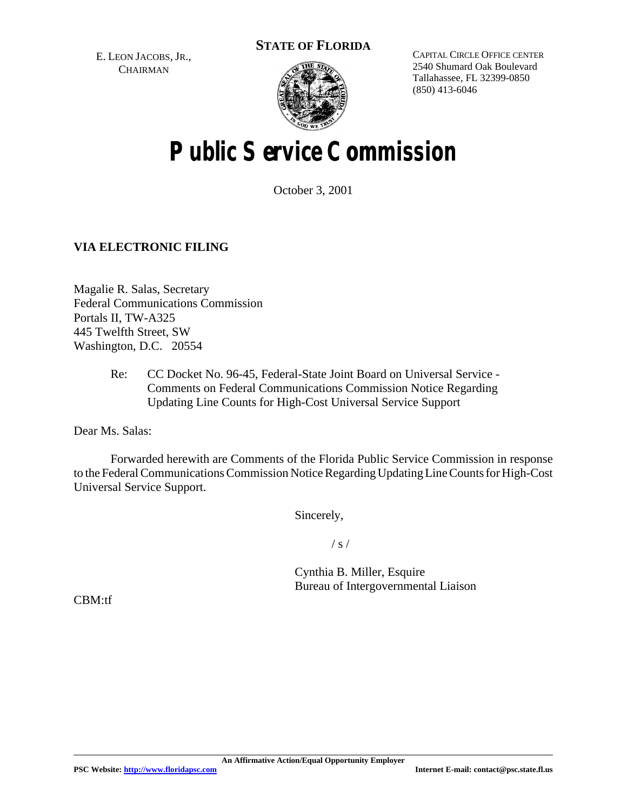**STATE OF FLORIDA**

E. LEON JACOBS, JR., **CHAIRMAN** 



CAPITAL CIRCLE OFFICE CENTER 2540 Shumard Oak Boulevard Tallahassee, FL 32399-0850 (850) 413-6046

# **Public Service Commission**

October 3, 2001

# **VIA ELECTRONIC FILING**

Magalie R. Salas, Secretary Federal Communications Commission Portals II, TW-A325 445 Twelfth Street, SW Washington, D.C. 20554

> Re: CC Docket No. 96-45, Federal-State Joint Board on Universal Service - Comments on Federal Communications Commission Notice Regarding Updating Line Counts for High-Cost Universal Service Support

Dear Ms. Salas:

Forwarded herewith are Comments of the Florida Public Service Commission in response to the Federal Communications Commission Notice Regarding Updating Line Counts for High-Cost Universal Service Support.

Sincerely,

 $/ s /$ 

Cynthia B. Miller, Esquire Bureau of Intergovernmental Liaison

CBM:tf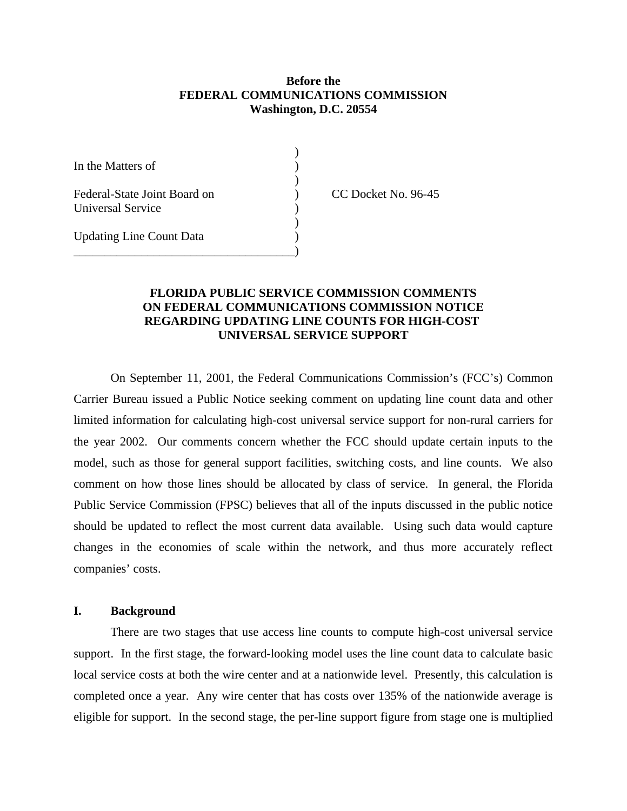## **Before the FEDERAL COMMUNICATIONS COMMISSION Washington, D.C. 20554**

)

)

)

In the Matters of (1) Federal-State Joint Board on (CC Docket No. 96-45) Universal Service (1986) Updating Line Count Data )

\_\_\_\_\_\_\_\_\_\_\_\_\_\_\_\_\_\_\_\_\_\_\_\_\_\_\_\_\_\_\_\_\_\_\_\_)

## **FLORIDA PUBLIC SERVICE COMMISSION COMMENTS ON FEDERAL COMMUNICATIONS COMMISSION NOTICE REGARDING UPDATING LINE COUNTS FOR HIGH-COST UNIVERSAL SERVICE SUPPORT**

On September 11, 2001, the Federal Communications Commission's (FCC's) Common Carrier Bureau issued a Public Notice seeking comment on updating line count data and other limited information for calculating high-cost universal service support for non-rural carriers for the year 2002. Our comments concern whether the FCC should update certain inputs to the model, such as those for general support facilities, switching costs, and line counts. We also comment on how those lines should be allocated by class of service. In general, the Florida Public Service Commission (FPSC) believes that all of the inputs discussed in the public notice should be updated to reflect the most current data available. Using such data would capture changes in the economies of scale within the network, and thus more accurately reflect companies' costs.

#### **I. Background**

There are two stages that use access line counts to compute high-cost universal service support. In the first stage, the forward-looking model uses the line count data to calculate basic local service costs at both the wire center and at a nationwide level. Presently, this calculation is completed once a year. Any wire center that has costs over 135% of the nationwide average is eligible for support. In the second stage, the per-line support figure from stage one is multiplied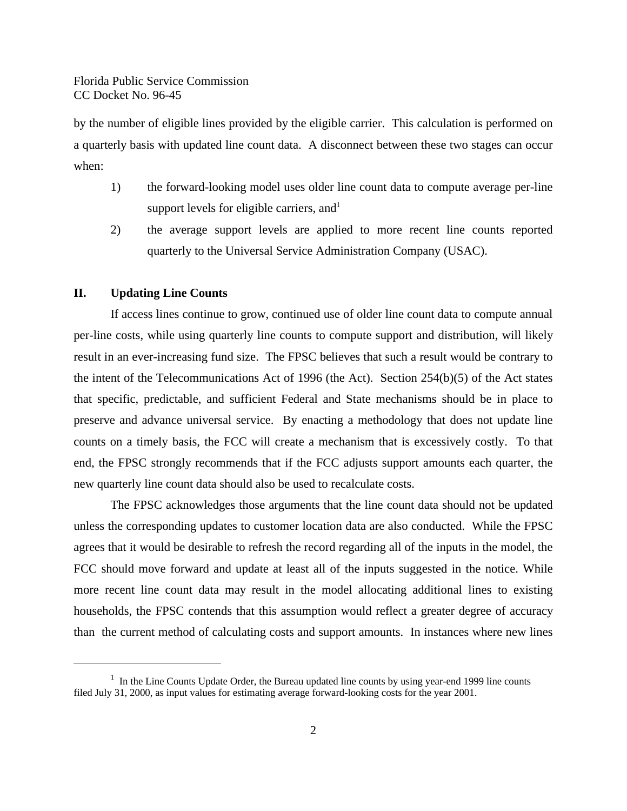by the number of eligible lines provided by the eligible carrier. This calculation is performed on a quarterly basis with updated line count data. A disconnect between these two stages can occur when:

- 1) the forward-looking model uses older line count data to compute average per-line support levels for eligible carriers, and  $1$
- 2) the average support levels are applied to more recent line counts reported quarterly to the Universal Service Administration Company (USAC).

## **II. Updating Line Counts**

If access lines continue to grow, continued use of older line count data to compute annual per-line costs, while using quarterly line counts to compute support and distribution, will likely result in an ever-increasing fund size. The FPSC believes that such a result would be contrary to the intent of the Telecommunications Act of 1996 (the Act). Section 254(b)(5) of the Act states that specific, predictable, and sufficient Federal and State mechanisms should be in place to preserve and advance universal service. By enacting a methodology that does not update line counts on a timely basis, the FCC will create a mechanism that is excessively costly. To that end, the FPSC strongly recommends that if the FCC adjusts support amounts each quarter, the new quarterly line count data should also be used to recalculate costs.

The FPSC acknowledges those arguments that the line count data should not be updated unless the corresponding updates to customer location data are also conducted. While the FPSC agrees that it would be desirable to refresh the record regarding all of the inputs in the model, the FCC should move forward and update at least all of the inputs suggested in the notice. While more recent line count data may result in the model allocating additional lines to existing households, the FPSC contends that this assumption would reflect a greater degree of accuracy than the current method of calculating costs and support amounts. In instances where new lines

<sup>&</sup>lt;sup>1</sup> In the Line Counts Update Order, the Bureau updated line counts by using year-end 1999 line counts filed July 31, 2000, as input values for estimating average forward-looking costs for the year 2001.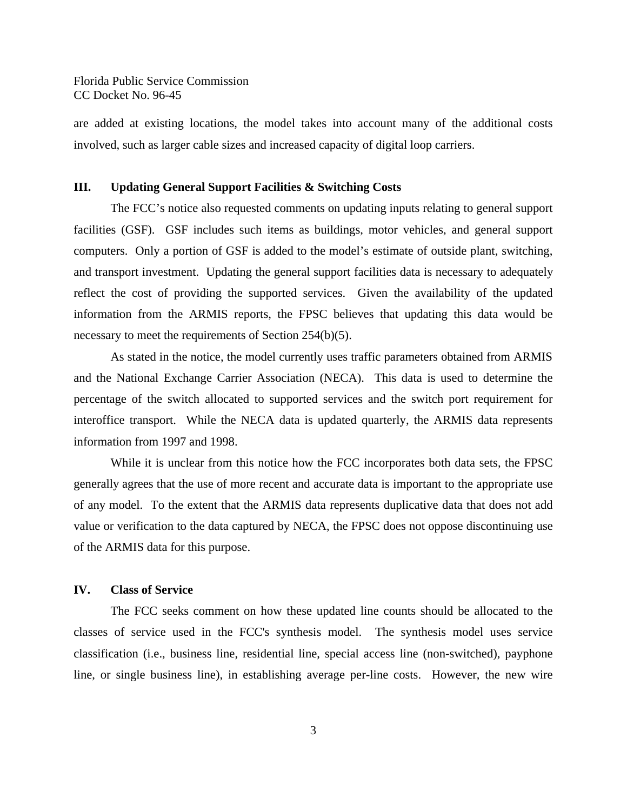Florida Public Service Commission CC Docket No. 96-45

are added at existing locations, the model takes into account many of the additional costs involved, such as larger cable sizes and increased capacity of digital loop carriers.

#### **III. Updating General Support Facilities & Switching Costs**

The FCC's notice also requested comments on updating inputs relating to general support facilities (GSF). GSF includes such items as buildings, motor vehicles, and general support computers. Only a portion of GSF is added to the model's estimate of outside plant, switching, and transport investment. Updating the general support facilities data is necessary to adequately reflect the cost of providing the supported services. Given the availability of the updated information from the ARMIS reports, the FPSC believes that updating this data would be necessary to meet the requirements of Section 254(b)(5).

As stated in the notice, the model currently uses traffic parameters obtained from ARMIS and the National Exchange Carrier Association (NECA). This data is used to determine the percentage of the switch allocated to supported services and the switch port requirement for interoffice transport. While the NECA data is updated quarterly, the ARMIS data represents information from 1997 and 1998.

While it is unclear from this notice how the FCC incorporates both data sets, the FPSC generally agrees that the use of more recent and accurate data is important to the appropriate use of any model. To the extent that the ARMIS data represents duplicative data that does not add value or verification to the data captured by NECA, the FPSC does not oppose discontinuing use of the ARMIS data for this purpose.

#### **IV. Class of Service**

The FCC seeks comment on how these updated line counts should be allocated to the classes of service used in the FCC's synthesis model. The synthesis model uses service classification (i.e., business line, residential line, special access line (non-switched), payphone line, or single business line), in establishing average per-line costs. However, the new wire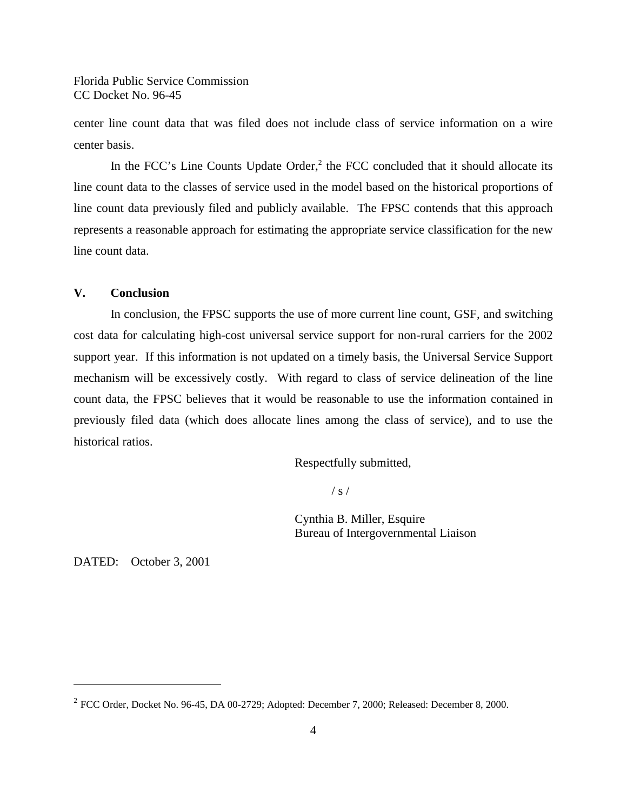Florida Public Service Commission CC Docket No. 96-45

center line count data that was filed does not include class of service information on a wire center basis.

In the FCC's Line Counts Update Order,<sup>2</sup> the FCC concluded that it should allocate its line count data to the classes of service used in the model based on the historical proportions of line count data previously filed and publicly available. The FPSC contends that this approach represents a reasonable approach for estimating the appropriate service classification for the new line count data.

#### **V. Conclusion**

In conclusion, the FPSC supports the use of more current line count, GSF, and switching cost data for calculating high-cost universal service support for non-rural carriers for the 2002 support year. If this information is not updated on a timely basis, the Universal Service Support mechanism will be excessively costly. With regard to class of service delineation of the line count data, the FPSC believes that it would be reasonable to use the information contained in previously filed data (which does allocate lines among the class of service), and to use the historical ratios.

Respectfully submitted,

 $/ s /$ 

Cynthia B. Miller, Esquire Bureau of Intergovernmental Liaison

DATED: October 3, 2001

 $2^{2}$  FCC Order, Docket No. 96-45, DA 00-2729; Adopted: December 7, 2000; Released: December 8, 2000.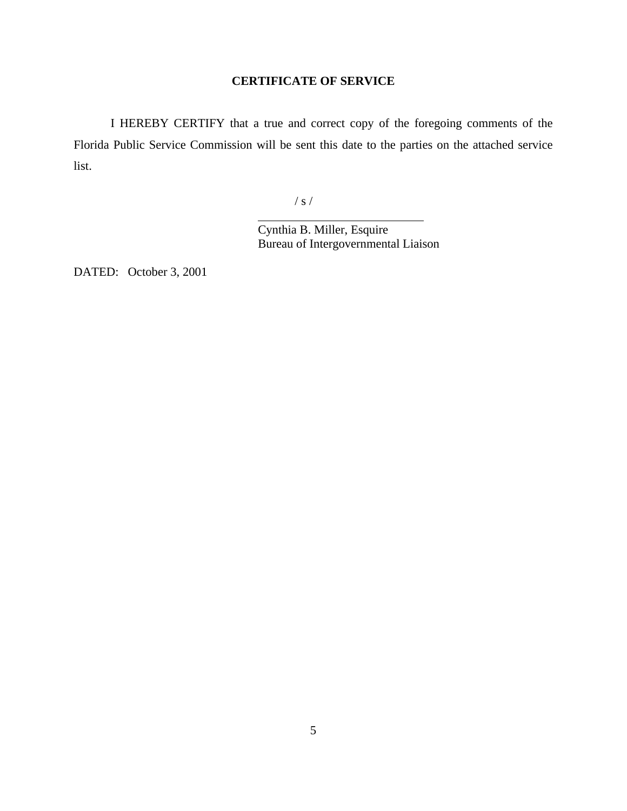# **CERTIFICATE OF SERVICE**

I HEREBY CERTIFY that a true and correct copy of the foregoing comments of the Florida Public Service Commission will be sent this date to the parties on the attached service list.

/ s /

 $\overline{a}$ 

Cynthia B. Miller, Esquire Bureau of Intergovernmental Liaison

DATED: October 3, 2001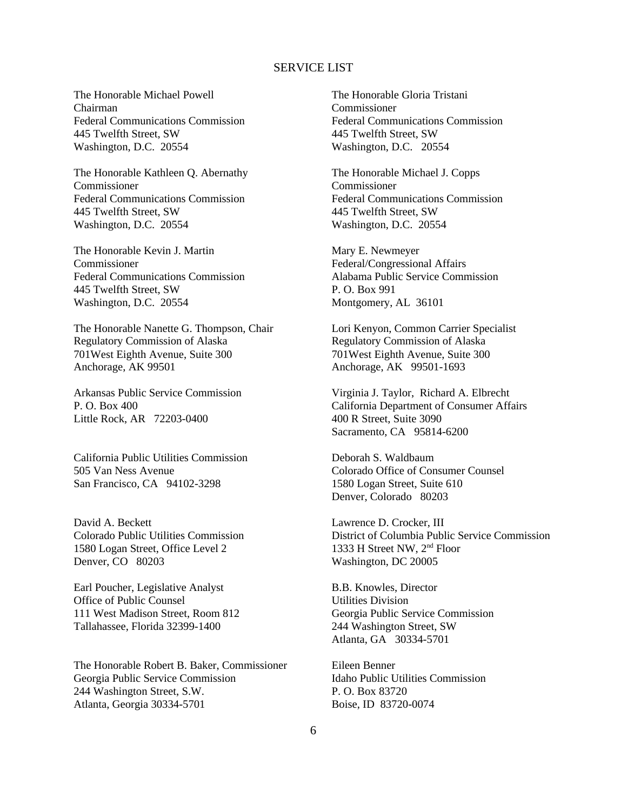#### SERVICE LIST

The Honorable Michael Powell Chairman Federal Communications Commission 445 Twelfth Street, SW Washington, D.C. 20554

The Honorable Kathleen Q. Abernathy Commissioner Federal Communications Commission 445 Twelfth Street, SW Washington, D.C. 20554

The Honorable Kevin J. Martin Commissioner Federal Communications Commission 445 Twelfth Street, SW Washington, D.C. 20554

The Honorable Nanette G. Thompson, Chair Regulatory Commission of Alaska 701West Eighth Avenue, Suite 300 Anchorage, AK 99501

Arkansas Public Service Commission P. O. Box 400 Little Rock, AR 72203-0400

California Public Utilities Commission 505 Van Ness Avenue San Francisco, CA 94102-3298

David A. Beckett Colorado Public Utilities Commission 1580 Logan Street, Office Level 2 Denver, CO 80203

Earl Poucher, Legislative Analyst Office of Public Counsel 111 West Madison Street, Room 812 Tallahassee, Florida 32399-1400

The Honorable Robert B. Baker, Commissioner Georgia Public Service Commission 244 Washington Street, S.W. Atlanta, Georgia 30334-5701

The Honorable Gloria Tristani Commissioner Federal Communications Commission 445 Twelfth Street, SW Washington, D.C. 20554

The Honorable Michael J. Copps Commissioner Federal Communications Commission 445 Twelfth Street, SW Washington, D.C. 20554

Mary E. Newmeyer Federal/Congressional Affairs Alabama Public Service Commission P. O. Box 991 Montgomery, AL 36101

Lori Kenyon, Common Carrier Specialist Regulatory Commission of Alaska 701West Eighth Avenue, Suite 300 Anchorage, AK 99501-1693

Virginia J. Taylor, Richard A. Elbrecht California Department of Consumer Affairs 400 R Street, Suite 3090 Sacramento, CA 95814-6200

Deborah S. Waldbaum Colorado Office of Consumer Counsel 1580 Logan Street, Suite 610 Denver, Colorado 80203

Lawrence D. Crocker, III District of Columbia Public Service Commission 1333 H Street NW, 2nd Floor Washington, DC 20005

B.B. Knowles, Director Utilities Division Georgia Public Service Commission 244 Washington Street, SW Atlanta, GA 30334-5701

Eileen Benner Idaho Public Utilities Commission P. O. Box 83720 Boise, ID 83720-0074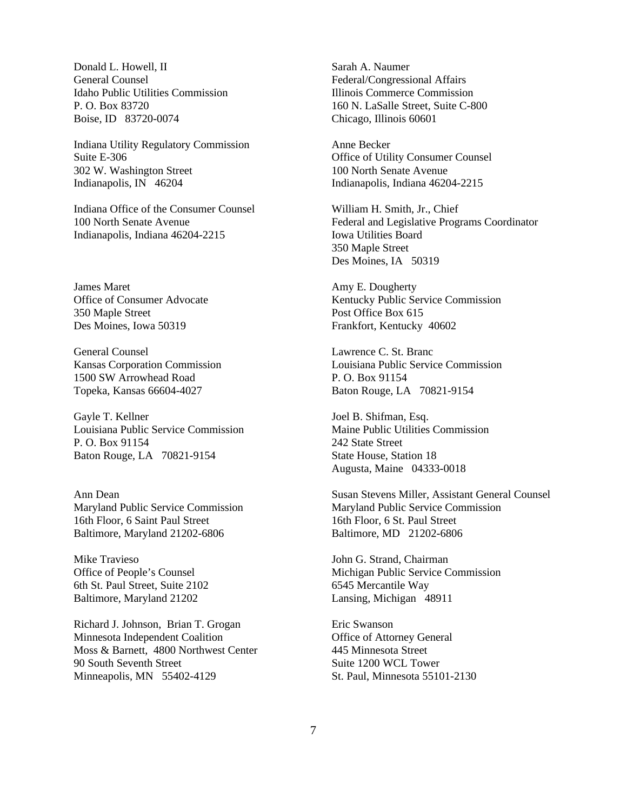Donald L. Howell, II General Counsel Idaho Public Utilities Commission P. O. Box 83720 Boise, ID 83720-0074

Indiana Utility Regulatory Commission Suite E-306 302 W. Washington Street Indianapolis, IN 46204

Indiana Office of the Consumer Counsel 100 North Senate Avenue Indianapolis, Indiana 46204-2215

James Maret Office of Consumer Advocate 350 Maple Street Des Moines, Iowa 50319

General Counsel Kansas Corporation Commission 1500 SW Arrowhead Road Topeka, Kansas 66604-4027

Gayle T. Kellner Louisiana Public Service Commission P. O. Box 91154 Baton Rouge, LA 70821-9154

Ann Dean Maryland Public Service Commission 16th Floor, 6 Saint Paul Street Baltimore, Maryland 21202-6806

Mike Travieso Office of People's Counsel 6th St. Paul Street, Suite 2102 Baltimore, Maryland 21202

Richard J. Johnson, Brian T. Grogan Minnesota Independent Coalition Moss & Barnett, 4800 Northwest Center 90 South Seventh Street Minneapolis, MN 55402-4129

Sarah A. Naumer Federal/Congressional Affairs Illinois Commerce Commission 160 N. LaSalle Street, Suite C-800 Chicago, Illinois 60601

Anne Becker Office of Utility Consumer Counsel 100 North Senate Avenue Indianapolis, Indiana 46204-2215

William H. Smith, Jr., Chief Federal and Legislative Programs Coordinator Iowa Utilities Board 350 Maple Street Des Moines, IA 50319

Amy E. Dougherty Kentucky Public Service Commission Post Office Box 615 Frankfort, Kentucky 40602

Lawrence C. St. Branc Louisiana Public Service Commission P. O. Box 91154 Baton Rouge, LA 70821-9154

Joel B. Shifman, Esq. Maine Public Utilities Commission 242 State Street State House, Station 18 Augusta, Maine 04333-0018

Susan Stevens Miller, Assistant General Counsel Maryland Public Service Commission 16th Floor, 6 St. Paul Street Baltimore, MD 21202-6806

John G. Strand, Chairman Michigan Public Service Commission 6545 Mercantile Way Lansing, Michigan 48911

Eric Swanson Office of Attorney General 445 Minnesota Street Suite 1200 WCL Tower St. Paul, Minnesota 55101-2130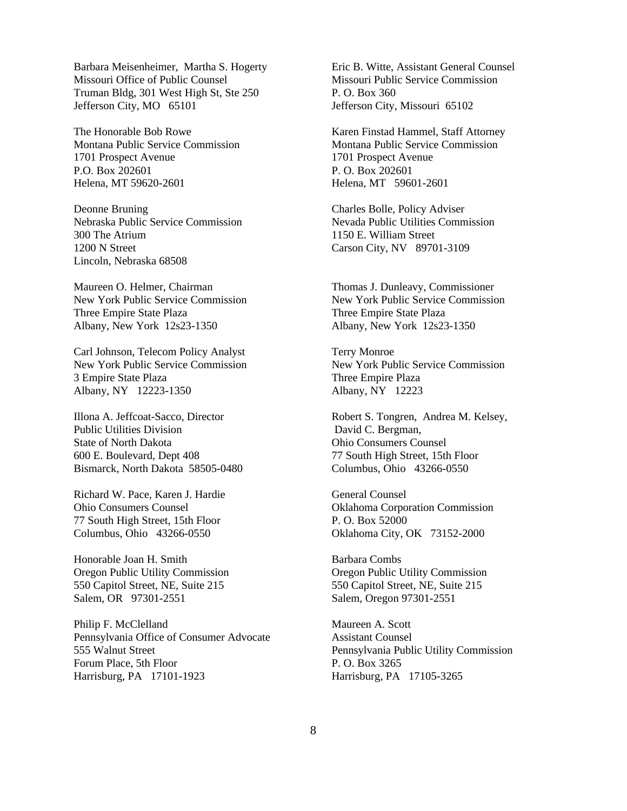Barbara Meisenheimer, Martha S. Hogerty Missouri Office of Public Counsel Truman Bldg, 301 West High St, Ste 250 Jefferson City, MO 65101

The Honorable Bob Rowe Montana Public Service Commission 1701 Prospect Avenue P.O. Box 202601 Helena, MT 59620-2601

Deonne Bruning Nebraska Public Service Commission 300 The Atrium 1200 N Street Lincoln, Nebraska 68508

Maureen O. Helmer, Chairman New York Public Service Commission Three Empire State Plaza Albany, New York 12s23-1350

Carl Johnson, Telecom Policy Analyst New York Public Service Commission 3 Empire State Plaza Albany, NY 12223-1350

Illona A. Jeffcoat-Sacco, Director Public Utilities Division State of North Dakota 600 E. Boulevard, Dept 408 Bismarck, North Dakota 58505-0480

Richard W. Pace, Karen J. Hardie Ohio Consumers Counsel 77 South High Street, 15th Floor Columbus, Ohio 43266-0550

Honorable Joan H. Smith Oregon Public Utility Commission 550 Capitol Street, NE, Suite 215 Salem, OR 97301-2551

Philip F. McClelland Pennsylvania Office of Consumer Advocate 555 Walnut Street Forum Place, 5th Floor Harrisburg, PA 17101-1923

Eric B. Witte, Assistant General Counsel Missouri Public Service Commission P. O. Box 360 Jefferson City, Missouri 65102

Karen Finstad Hammel, Staff Attorney Montana Public Service Commission 1701 Prospect Avenue P. O. Box 202601 Helena, MT 59601-2601

Charles Bolle, Policy Adviser Nevada Public Utilities Commission 1150 E. William Street Carson City, NV 89701-3109

Thomas J. Dunleavy, Commissioner New York Public Service Commission Three Empire State Plaza Albany, New York 12s23-1350

Terry Monroe New York Public Service Commission Three Empire Plaza Albany, NY 12223

Robert S. Tongren, Andrea M. Kelsey, David C. Bergman, Ohio Consumers Counsel 77 South High Street, 15th Floor Columbus, Ohio 43266-0550

General Counsel Oklahoma Corporation Commission P. O. Box 52000 Oklahoma City, OK 73152-2000

Barbara Combs Oregon Public Utility Commission 550 Capitol Street, NE, Suite 215 Salem, Oregon 97301-2551

Maureen A. Scott Assistant Counsel Pennsylvania Public Utility Commission P. O. Box 3265 Harrisburg, PA 17105-3265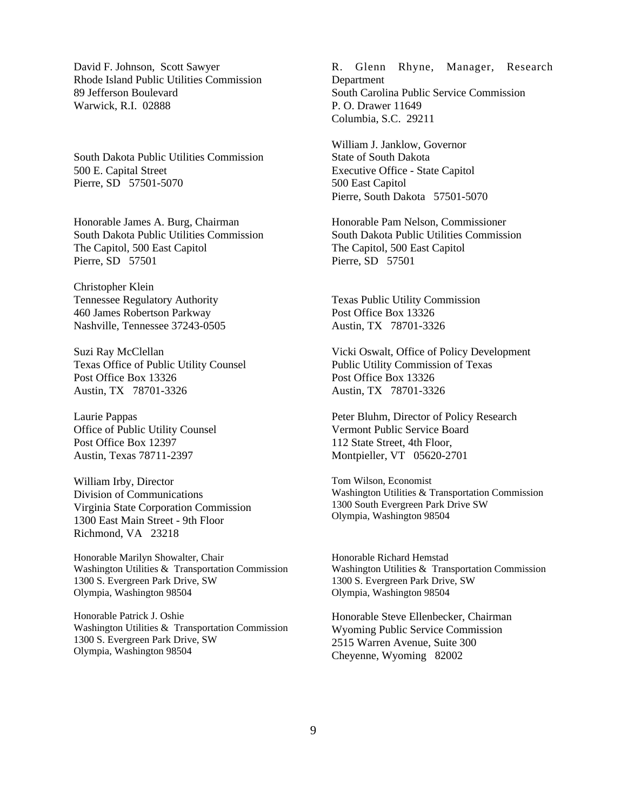David F. Johnson, Scott Sawyer Rhode Island Public Utilities Commission 89 Jefferson Boulevard Warwick, R.I. 02888

South Dakota Public Utilities Commission 500 E. Capital Street Pierre, SD 57501-5070

Honorable James A. Burg, Chairman South Dakota Public Utilities Commission The Capitol, 500 East Capitol Pierre, SD 57501

Christopher Klein Tennessee Regulatory Authority 460 James Robertson Parkway Nashville, Tennessee 37243-0505

Suzi Ray McClellan Texas Office of Public Utility Counsel Post Office Box 13326 Austin, TX 78701-3326

Laurie Pappas Office of Public Utility Counsel Post Office Box 12397 Austin, Texas 78711-2397

William Irby, Director Division of Communications Virginia State Corporation Commission 1300 East Main Street - 9th Floor Richmond, VA 23218

Honorable Marilyn Showalter, Chair Washington Utilities & Transportation Commission 1300 S. Evergreen Park Drive, SW Olympia, Washington 98504

Honorable Patrick J. Oshie Washington Utilities & Transportation Commission 1300 S. Evergreen Park Drive, SW Olympia, Washington 98504

R. Glenn Rhyne, Manager, Research Department South Carolina Public Service Commission P. O. Drawer 11649 Columbia, S.C. 29211

William J. Janklow, Governor State of South Dakota Executive Office - State Capitol 500 East Capitol Pierre, South Dakota 57501-5070

Honorable Pam Nelson, Commissioner South Dakota Public Utilities Commission The Capitol, 500 East Capitol Pierre, SD 57501

Texas Public Utility Commission Post Office Box 13326 Austin, TX 78701-3326

Vicki Oswalt, Office of Policy Development Public Utility Commission of Texas Post Office Box 13326 Austin, TX 78701-3326

Peter Bluhm, Director of Policy Research Vermont Public Service Board 112 State Street, 4th Floor, Montpieller, VT 05620-2701

Tom Wilson, Economist Washington Utilities & Transportation Commission 1300 South Evergreen Park Drive SW Olympia, Washington 98504

Honorable Richard Hemstad Washington Utilities & Transportation Commission 1300 S. Evergreen Park Drive, SW Olympia, Washington 98504

Honorable Steve Ellenbecker, Chairman Wyoming Public Service Commission 2515 Warren Avenue, Suite 300 Cheyenne, Wyoming 82002